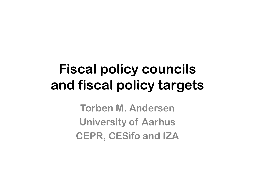## **Fiscal policy councilsand fiscal policy targets**

**Torben M. AndersenUniversity of Aarhus CEPR, CESifo and IZA**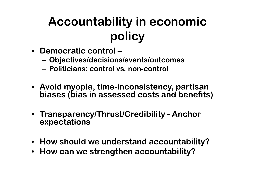## **Accountability in economicpolicy**

- **Democratic control –**
	- –**Objectives/decisions/events/outcomes**
	- and the state of the **Politicians: control vs. non-control**
- **Avoid myopia, time-inconsistency, partisan biases (bias in assessed costs and benefits)**
- **Transparency/Thrust/Credibility - Anchor expectations**
- **How should we understand accountability?**
- **How can we strengthen accountability?**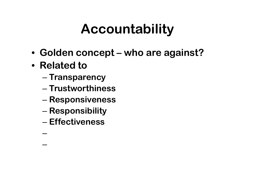## **Accountability**

- **Golden concept – who are against?**
- **Related to**

–

and the state of the state

- –**Transparency**
- and the state of the state **Trustworthiness**
- –**Responsiveness**
- and the state of the state **Responsibility**
- and the state of the state **Effectiveness**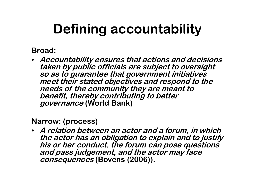# **Defining accountability**

**Broad:**

• **Accountability ensures that actions and decisions taken by public officials are subject to oversight so as to guarantee that government initiatives meet their stated objectives and respond to the needs of the community they are meant to benefit, thereby contributing to better governance (World Bank)**

**Narrow: (process)**

• **A relation between an actor and a forum, in which the actor has an obligation to explain and to justify his or her conduct, the forum can pose questions and pass judgement, and the actor may face consequences (Bovens (2006)).**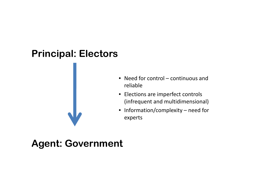### **Principal: Electors**



- Need for control continuous and reliable
- Elections are imperfect controls (infrequent and multidimensional)
- Information/complexity need for experts

### **Agent: Government**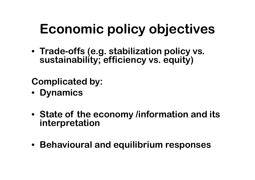# **Economic policy objectives**

• **Trade-offs (e.g. stabilization policy vs. sustainability; efficiency vs. equity)**

**Complicated by:**

- **Dynamics**
- **State of the economy /information and its interpretation**
- **Behavioural and equilibrium responses**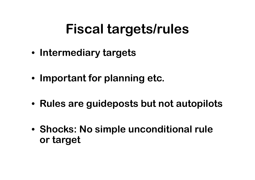## **Fiscal targets/rules**

- **Intermediary targets**
- **Important for planning etc.**
- **Rules are guideposts but not autopilots**
- **Shocks: No simple unconditional rule or target**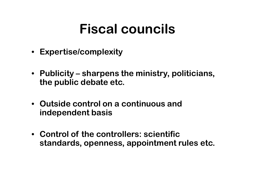## **Fiscal councils**

- **Expertise/complexity**
- **Publicity – sharpens the ministry, politicians, the public debate etc.**
- **Outside control on a continuous and independent basis**
- **Control of the controllers: scientific standards, openness, appointment rules etc.**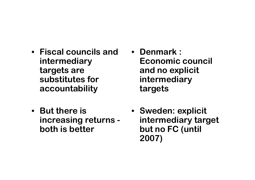- **Fiscal councils and intermediary targets are substitutes for accountability**
- **But there is increasing returns both is better**
- **Denmark : Economic council and no explicit intermediarytargets**
- **Sweden: explicit intermediary target but no FC (until 2007)**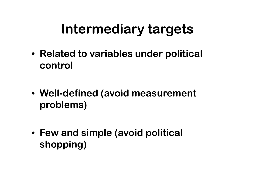## **Intermediary targets**

- **Related to variables under political control**
- **Well-defined (avoid measurement problems)**
- **Few and simple (avoid political shopping)**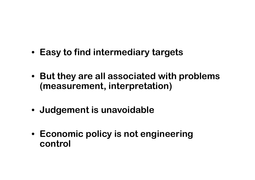- **Easy to find intermediary targets**
- **But they are all associated with problems (measurement, interpretation)**
- **Judgement is unavoidable**
- **Economic policy is not engineeringcontrol**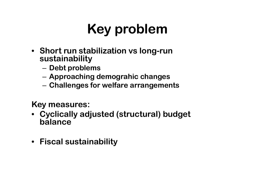## **Key problem**

- **Short run stabilization vs long-run sustainability**
	- Daht nrohla **Debt problems**
	- –**Approaching demograhic changes**
	- and the state of the **Challenges for welfare arrangements**

**Key measures:**

- **Cyclically adjusted (structural) budget balance**
- **Fiscal sustainability**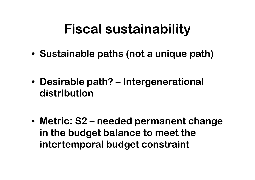## **Fiscal sustainability**

- **Sustainable paths (not a unique path)**
- **Desirable path? – Intergenerational distribution**
- **Metric: S2 – needed permanent change in the budget balance to meet the intertemporal budget constraint**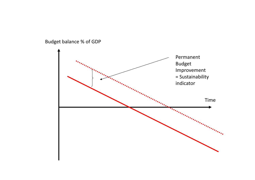Budget balance % of GDP

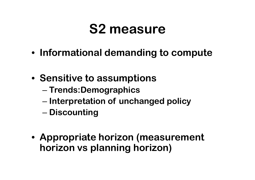## **S2 measure**

- **Informational demanding to compute**
- **Sensitive to assumptions**
	- and the state of the state **Trends:Demographics**
	- –**Interpretation of unchanged policy**
	- and the state of the state **Discounting**
- **Appropriate horizon (measurement horizon vs planning horizon )**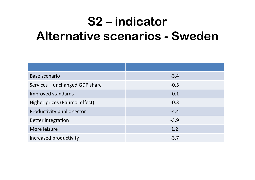## **S2 – indicator Alternative scenarios - Sweden**

| Base scenario                  | $-3.4$ |
|--------------------------------|--------|
| Services - unchanged GDP share | $-0.5$ |
| Improved standards             | $-0.1$ |
| Higher prices (Baumol effect)  | $-0.3$ |
| Productivity public sector     | $-4.4$ |
| <b>Better integration</b>      | $-3.9$ |
| More leisure                   | 1.2    |
| Increased productivity         | $-3.7$ |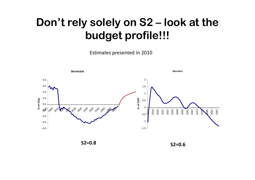### **Don't rely solely on S2 – look at the budget profile!!!**

Estimates presented in 2010



**S2=0.8**

**S2=0.6**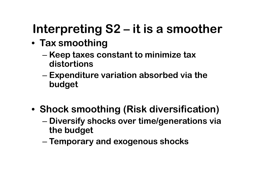## **Interpreting S2 – it is a smoother**

- **Tax smoothing**
	- and the state of the state **Keep taxes constant to minimize tax distortions**
	- and the state of the state **Expenditure variation absorbed via the budget**
- **Shock smoothing (Risk diversification)**
	- and the state of the state **Diversify shocks over time/generations via the budget**
	- and the state of the state **Temporary and exogenous shocks**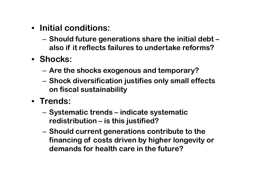- **Initial conditions:**
	- – **Should future generations share the initial debt – also if it reflects failures to undertake reforms?**
- **Shocks:**
	- and the state of the **Are the shocks exogenous and temporary?**
	- and the state of the **Shock diversification justifies only small effects on fiscal sustainability**
- **Trends:**
	- **Links of the Company Systematic trends – indicate systematic redistribution – is this justified?**
	- **Links of the Company Should current generations contribute to the financing of costs driven by higher longevity or demands for health care in the future?**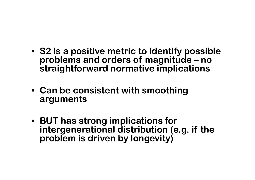- **S2 is a positive metric to identify possible problems and orders of magnitude – nostraightforward normative implications**
- **Can be consistent with smoothingarguments**
- **BUT has strong implications for intergenerational distribution (e.g. if the problem is driven by longevity)**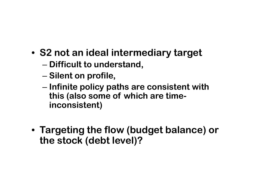- **S2 not an ideal intermediary target**
	- and the state of the state **Difficult to understand,**
	- – $-$  Silent on profile,
	- and the state of the state **Infinite policy paths are consistent withthis (also some of which are timeinconsistent)**
- **Targeting the flow (budget balance) or the stock (debt level)?**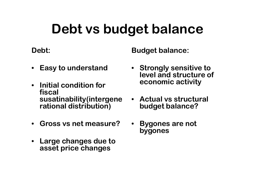## **Debt vs budget balance**

**Debt:**

**Budget balance:**

- **Easy to understand**
- **Initial condition for fiscal susatinability(intergenerational distribution)**
- **Gross vs net measure?**
- • **Large changes due to asset price changes**
- **Strongly sensitive to level and structure of economic activity**
- **Actual vs structural budget balance?**
- • **Bygones are not bygones**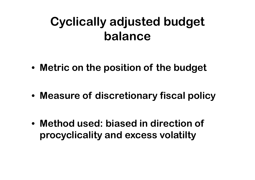### **Cyclically adjusted budget balance**

- **Metric on the position of the budget**
- **Measure of discretionary fiscal policy**
- **Method used: biased in direction of procyclicality and excess volatilty**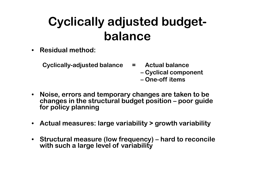## **Cyclically adjusted budgetbalance**

- **Residual method:**
	- **Cyclically-adjusted balance = Actual balance** 
		- **– Cyclical component – One-off items**
- **Noise, errors and temporary changes are taken to be changes in the structural budget position – poor guide for policy planning**
- **Actual measures: large variability > growth variability**
- **Structural measure (low frequency) – hard to reconcile with such a large level of variability**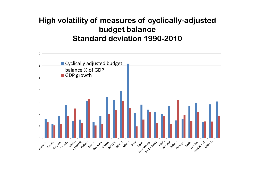#### **High volatility of measures of cyclically-adjustedbudget balance Standard deviation 1990-2010**

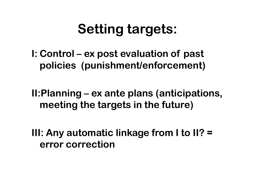# **Setting targets:**

**I: Control – ex post evaluation of past policies (punishment/enforcement)**

**II:Planning – ex ante plans (anticipations, meeting the targets in the future)**

**III: Any automatic linkage from I to II? = error correction**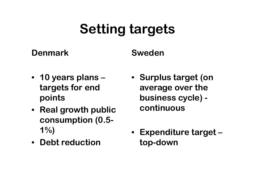# **Setting targets**

#### **Denmark**

**Sweden**

- **10 years plans – targets for end points**
- **Real growth public consumption (0.5- 1%)**
- **Debt reduction**
- **Surplus target (on average over the business cycle) continuous**
- **Expenditure target – top-down**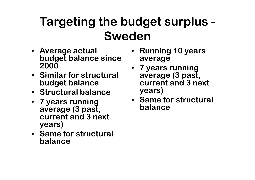#### **Targeting the budget surplus -Sweden**

- **Average actual budget balance since2000**
- **Similar for structural budget balance**
- **Structural balance**
- **7 years runningaverage (3 past, current and 3 next years)**
- **Same for structural balance**
- **Running 10 yearsaverage**
- **7 years runningaverage (3 past, current and 3 next years)**
- **Same for structural balance**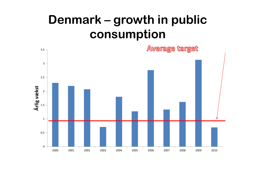### **Denmark – growth in public consumption**

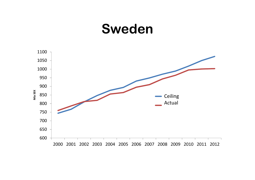### **Sweden**